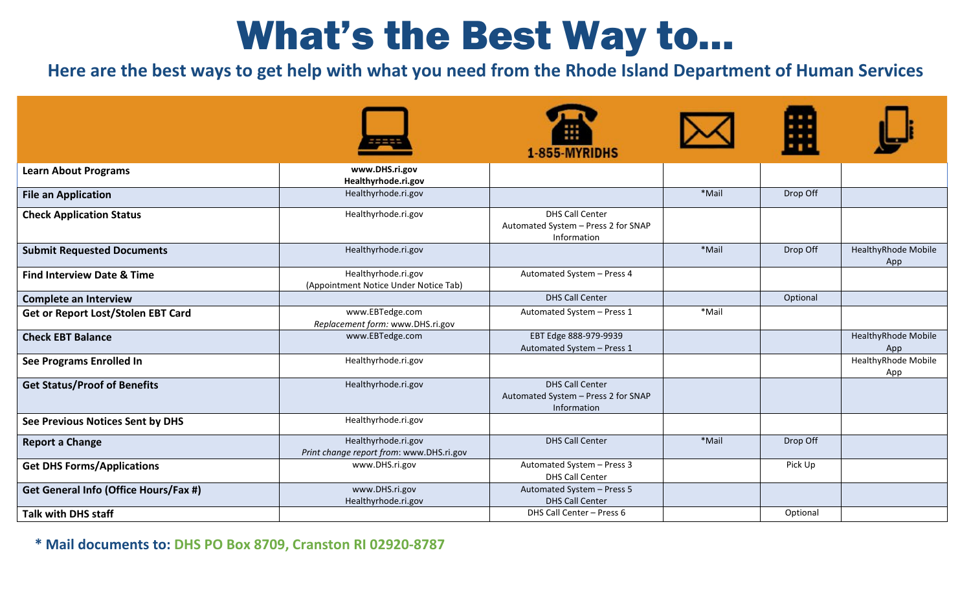## What's the Best Way to…

**Here are the best ways to get help with what you need from the Rhode Island Department of Human Services** 

|                                       |                                                                 | 1-855-MYRIDHS                                                                |       |          |                                   |
|---------------------------------------|-----------------------------------------------------------------|------------------------------------------------------------------------------|-------|----------|-----------------------------------|
| <b>Learn About Programs</b>           | www.DHS.ri.gov<br>Healthyrhode.ri.gov                           |                                                                              |       |          |                                   |
| <b>File an Application</b>            | Healthyrhode.ri.gov                                             |                                                                              | *Mail | Drop Off |                                   |
| <b>Check Application Status</b>       | Healthyrhode.ri.gov                                             | <b>DHS Call Center</b><br>Automated System - Press 2 for SNAP<br>Information |       |          |                                   |
| <b>Submit Requested Documents</b>     | Healthyrhode.ri.gov                                             |                                                                              | *Mail | Drop Off | <b>HealthyRhode Mobile</b><br>App |
| <b>Find Interview Date &amp; Time</b> | Healthyrhode.ri.gov<br>(Appointment Notice Under Notice Tab)    | Automated System - Press 4                                                   |       |          |                                   |
| <b>Complete an Interview</b>          |                                                                 | <b>DHS Call Center</b>                                                       |       | Optional |                                   |
| Get or Report Lost/Stolen EBT Card    | www.EBTedge.com<br>Replacement form: www.DHS.ri.gov             | Automated System - Press 1                                                   | *Mail |          |                                   |
| <b>Check EBT Balance</b>              | www.EBTedge.com                                                 | EBT Edge 888-979-9939<br>Automated System - Press 1                          |       |          | HealthyRhode Mobile<br>App        |
| See Programs Enrolled In              | Healthyrhode.ri.gov                                             |                                                                              |       |          | HealthyRhode Mobile<br>App        |
| <b>Get Status/Proof of Benefits</b>   | Healthyrhode.ri.gov                                             | <b>DHS Call Center</b><br>Automated System - Press 2 for SNAP<br>Information |       |          |                                   |
| See Previous Notices Sent by DHS      | Healthyrhode.ri.gov                                             |                                                                              |       |          |                                   |
| <b>Report a Change</b>                | Healthyrhode.ri.gov<br>Print change report from: www.DHS.ri.gov | <b>DHS Call Center</b>                                                       | *Mail | Drop Off |                                   |
| <b>Get DHS Forms/Applications</b>     | www.DHS.ri.gov                                                  | Automated System - Press 3<br><b>DHS Call Center</b>                         |       | Pick Up  |                                   |
| Get General Info (Office Hours/Fax #) | www.DHS.ri.gov<br>Healthyrhode.ri.gov                           | Automated System - Press 5<br><b>DHS Call Center</b>                         |       |          |                                   |
| <b>Talk with DHS staff</b>            |                                                                 | DHS Call Center - Press 6                                                    |       | Optional |                                   |

**\* Mail documents to: DHS PO Box 8709, Cranston RI 02920-8787**